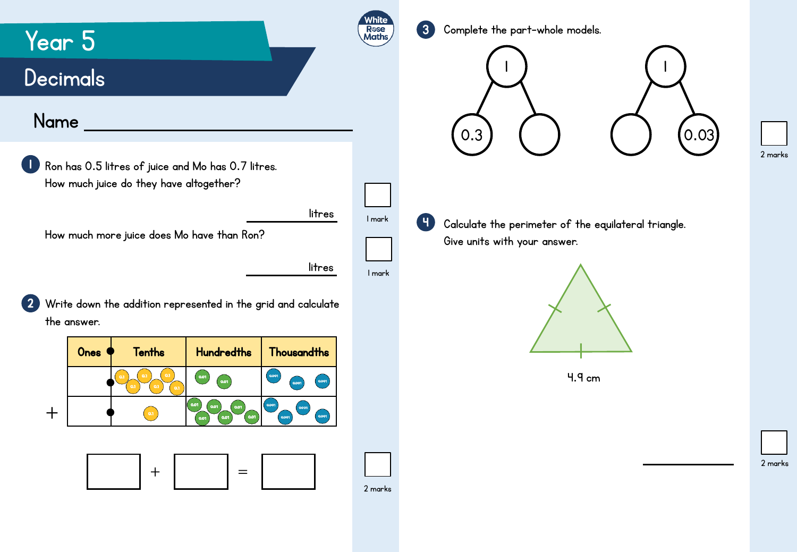3 Complete the part-whole models.

1

## **Decimals**

Year 5

## Name



2 Write down the addition represented in the grid and calculate the answer.

| Ones | <b>Tenths</b>                          | <b>Hundredths</b>                            | <b>Thousandths</b>               |
|------|----------------------------------------|----------------------------------------------|----------------------------------|
|      | 0.1<br>0.1<br>0.1<br>0.1<br>0.1<br>0.1 | 0.01<br>0.01                                 | 0.001<br>0.001<br>0.001          |
|      | 0.1                                    | 0.01<br>0.01<br>0.01<br>0.01<br>0.01<br>0.01 | 0.001<br>0.001<br>0.001<br>0.001 |
|      |                                        |                                              |                                  |





|<br>|

2 marks



1 mark

White Rose<br>Maths

litres

2 marks

4

Calculate the perimeter of the equilateral triangle. Give units with your answer.



4.9 cm